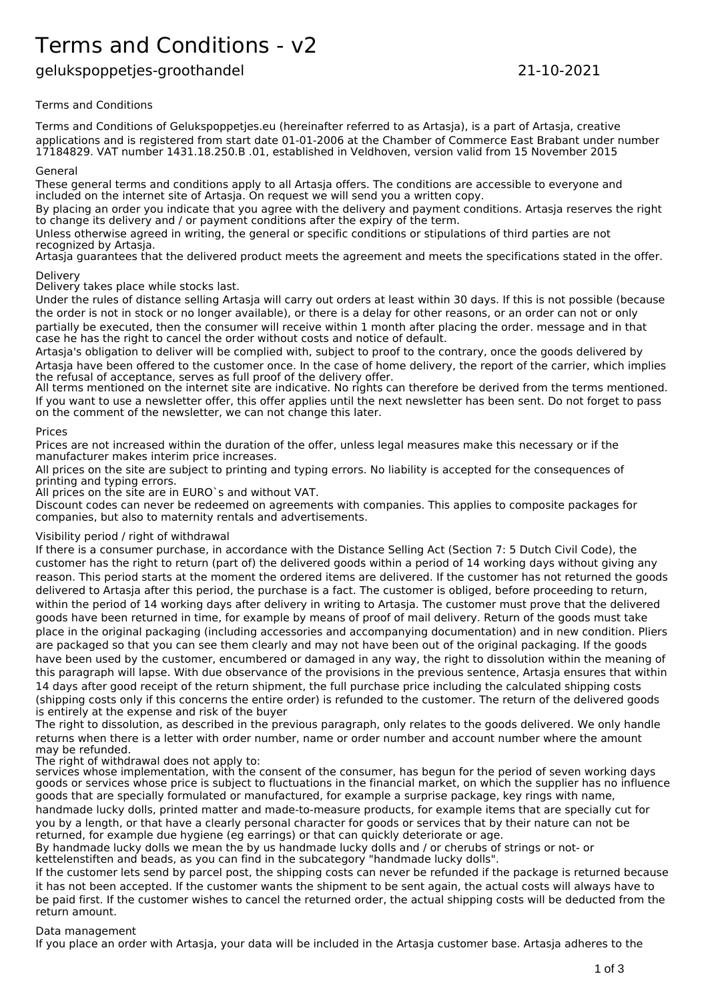# Terms and Conditions - v2

# gelukspoppetjes-groothandel 21-10-2021

Terms and Conditions

Terms and Conditions of Gelukspoppetjes.eu (hereinafter referred to as Artasja), is a part of Artasja, creative applications and is registered from start date 01-01-2006 at the Chamber of Commerce East Brabant under number 17184829. VAT number 1431.18.250.B .01, established in Veldhoven, version valid from 15 November 2015

#### General

These general terms and conditions apply to all Artasja offers. The conditions are accessible to everyone and included on the internet site of Artasja. On request we will send you a written copy.

By placing an order you indicate that you agree with the delivery and payment conditions. Artasja reserves the right to change its delivery and / or payment conditions after the expiry of the term.

Unless otherwise agreed in writing, the general or specific conditions or stipulations of third parties are not recognized by Artasja.

Artasja guarantees that the delivered product meets the agreement and meets the specifications stated in the offer. Delivery

Delivery takes place while stocks last.

Under the rules of distance selling Artasja will carry out orders at least within 30 days. If this is not possible (because the order is not in stock or no longer available), or there is a delay for other reasons, or an order can not or only partially be executed, then the consumer will receive within 1 month after placing the order. message and in that case he has the right to cancel the order without costs and notice of default.

Artasja's obligation to deliver will be complied with, subject to proof to the contrary, once the goods delivered by Artasja have been offered to the customer once. In the case of home delivery, the report of the carrier, which implies the refusal of acceptance, serves as full proof of the delivery offer.

All terms mentioned on the internet site are indicative. No rights can therefore be derived from the terms mentioned. If you want to use a newsletter offer, this offer applies until the next newsletter has been sent. Do not forget to pass on the comment of the newsletter, we can not change this later.

# Prices

Prices are not increased within the duration of the offer, unless legal measures make this necessary or if the manufacturer makes interim price increases.

All prices on the site are subject to printing and typing errors. No liability is accepted for the consequences of printing and typing errors.

All prices on the site are in EURO`s and without VAT.

Discount codes can never be redeemed on agreements with companies. This applies to composite packages for companies, but also to maternity rentals and advertisements.

# Visibility period / right of withdrawal

If there is a consumer purchase, in accordance with the Distance Selling Act (Section 7: 5 Dutch Civil Code), the customer has the right to return (part of) the delivered goods within a period of 14 working days without giving any reason. This period starts at the moment the ordered items are delivered. If the customer has not returned the goods delivered to Artasja after this period, the purchase is a fact. The customer is obliged, before proceeding to return, within the period of 14 working days after delivery in writing to Artasja. The customer must prove that the delivered goods have been returned in time, for example by means of proof of mail delivery. Return of the goods must take place in the original packaging (including accessories and accompanying documentation) and in new condition. Pliers are packaged so that you can see them clearly and may not have been out of the original packaging. If the goods have been used by the customer, encumbered or damaged in any way, the right to dissolution within the meaning of this paragraph will lapse. With due observance of the provisions in the previous sentence, Artasja ensures that within 14 days after good receipt of the return shipment, the full purchase price including the calculated shipping costs (shipping costs only if this concerns the entire order) is refunded to the customer. The return of the delivered goods is entirely at the expense and risk of the buyer

The right to dissolution, as described in the previous paragraph, only relates to the goods delivered. We only handle returns when there is a letter with order number, name or order number and account number where the amount may be refunded.

The right of withdrawal does not apply to:

services whose implementation, with the consent of the consumer, has begun for the period of seven working days goods or services whose price is subject to fluctuations in the financial market, on which the supplier has no influence goods that are specially formulated or manufactured, for example a surprise package, key rings with name, handmade lucky dolls, printed matter and made-to-measure products, for example items that are specially cut for you by a length, or that have a clearly personal character for goods or services that by their nature can not be returned, for example due hygiene (eg earrings) or that can quickly deteriorate or age.

By handmade lucky dolls we mean the by us handmade lucky dolls and / or cherubs of strings or not- or kettelenstiften and beads, as you can find in the subcategory "handmade lucky dolls".

If the customer lets send by parcel post, the shipping costs can never be refunded if the package is returned because it has not been accepted. If the customer wants the shipment to be sent again, the actual costs will always have to be paid first. If the customer wishes to cancel the returned order, the actual shipping costs will be deducted from the return amount.

# Data management

If you place an order with Artasja, your data will be included in the Artasja customer base. Artasja adheres to the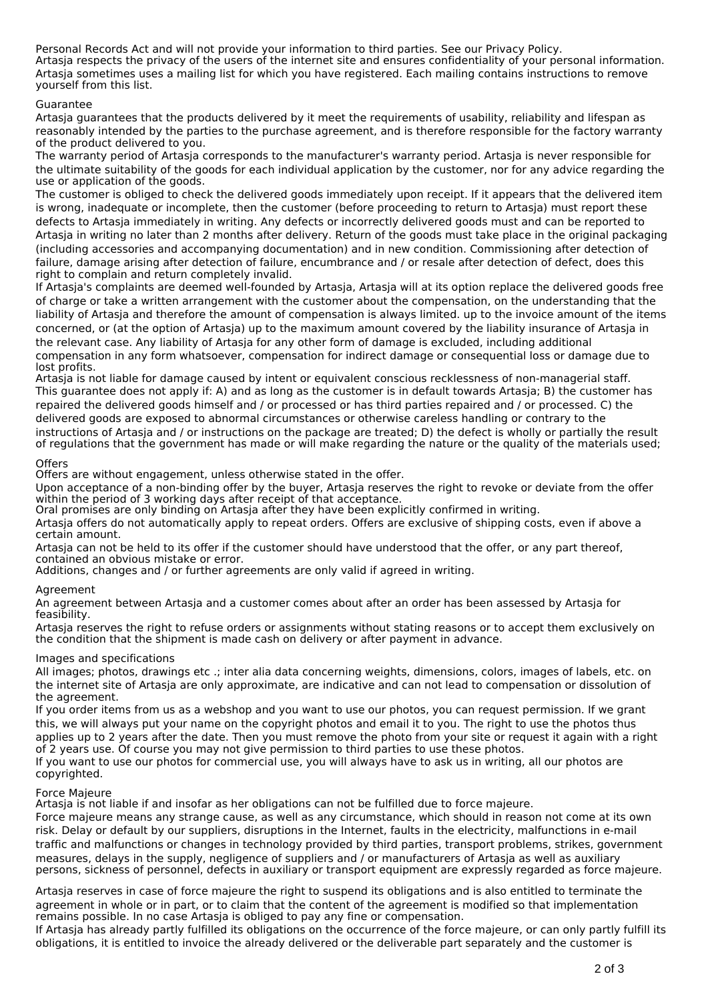Personal Records Act and will not provide your information to third parties. See our Privacy Policy. Artasja respects the privacy of the users of the internet site and ensures confidentiality of your personal information. Artasja sometimes uses a mailing list for which you have registered. Each mailing contains instructions to remove yourself from this list.

#### Guarantee

Artasja guarantees that the products delivered by it meet the requirements of usability, reliability and lifespan as reasonably intended by the parties to the purchase agreement, and is therefore responsible for the factory warranty of the product delivered to you.

The warranty period of Artasja corresponds to the manufacturer's warranty period. Artasja is never responsible for the ultimate suitability of the goods for each individual application by the customer, nor for any advice regarding the use or application of the goods.

The customer is obliged to check the delivered goods immediately upon receipt. If it appears that the delivered item is wrong, inadequate or incomplete, then the customer (before proceeding to return to Artasja) must report these defects to Artasja immediately in writing. Any defects or incorrectly delivered goods must and can be reported to Artasja in writing no later than 2 months after delivery. Return of the goods must take place in the original packaging (including accessories and accompanying documentation) and in new condition. Commissioning after detection of failure, damage arising after detection of failure, encumbrance and / or resale after detection of defect, does this right to complain and return completely invalid.

If Artasja's complaints are deemed well-founded by Artasja, Artasja will at its option replace the delivered goods free of charge or take a written arrangement with the customer about the compensation, on the understanding that the liability of Artasja and therefore the amount of compensation is always limited. up to the invoice amount of the items concerned, or (at the option of Artasja) up to the maximum amount covered by the liability insurance of Artasja in the relevant case. Any liability of Artasja for any other form of damage is excluded, including additional compensation in any form whatsoever, compensation for indirect damage or consequential loss or damage due to

lost profits. Artasja is not liable for damage caused by intent or equivalent conscious recklessness of non-managerial staff. This guarantee does not apply if: A) and as long as the customer is in default towards Artasja; B) the customer has repaired the delivered goods himself and / or processed or has third parties repaired and / or processed. C) the delivered goods are exposed to abnormal circumstances or otherwise careless handling or contrary to the instructions of Artasja and / or instructions on the package are treated; D) the defect is wholly or partially the result of regulations that the government has made or will make regarding the nature or the quality of the materials used;

#### **Offers**

Offers are without engagement, unless otherwise stated in the offer.

Upon acceptance of a non-binding offer by the buyer, Artasja reserves the right to revoke or deviate from the offer within the period of 3 working days after receipt of that acceptance.

Oral promises are only binding on Artasja after they have been explicitly confirmed in writing.

Artasja offers do not automatically apply to repeat orders. Offers are exclusive of shipping costs, even if above a certain amount.

Artasja can not be held to its offer if the customer should have understood that the offer, or any part thereof, contained an obvious mistake or error.

Additions, changes and / or further agreements are only valid if agreed in writing.

# Agreement

An agreement between Artasja and a customer comes about after an order has been assessed by Artasja for feasibility.

Artasja reserves the right to refuse orders or assignments without stating reasons or to accept them exclusively on the condition that the shipment is made cash on delivery or after payment in advance.

#### Images and specifications

All images; photos, drawings etc .; inter alia data concerning weights, dimensions, colors, images of labels, etc. on the internet site of Artasja are only approximate, are indicative and can not lead to compensation or dissolution of the agreement.

If you order items from us as a webshop and you want to use our photos, you can request permission. If we grant this, we will always put your name on the copyright photos and email it to you. The right to use the photos thus applies up to 2 years after the date. Then you must remove the photo from your site or request it again with a right of 2 years use. Of course you may not give permission to third parties to use these photos.

If you want to use our photos for commercial use, you will always have to ask us in writing, all our photos are copyrighted.

#### Force Majeure

Artasja is not liable if and insofar as her obligations can not be fulfilled due to force majeure.

Force majeure means any strange cause, as well as any circumstance, which should in reason not come at its own risk. Delay or default by our suppliers, disruptions in the Internet, faults in the electricity, malfunctions in e-mail traffic and malfunctions or changes in technology provided by third parties, transport problems, strikes, government measures, delays in the supply, negligence of suppliers and / or manufacturers of Artasja as well as auxiliary persons, sickness of personnel, defects in auxiliary or transport equipment are expressly regarded as force majeure.

Artasja reserves in case of force majeure the right to suspend its obligations and is also entitled to terminate the agreement in whole or in part, or to claim that the content of the agreement is modified so that implementation remains possible. In no case Artasja is obliged to pay any fine or compensation.

If Artasja has already partly fulfilled its obligations on the occurrence of the force majeure, or can only partly fulfill its obligations, it is entitled to invoice the already delivered or the deliverable part separately and the customer is